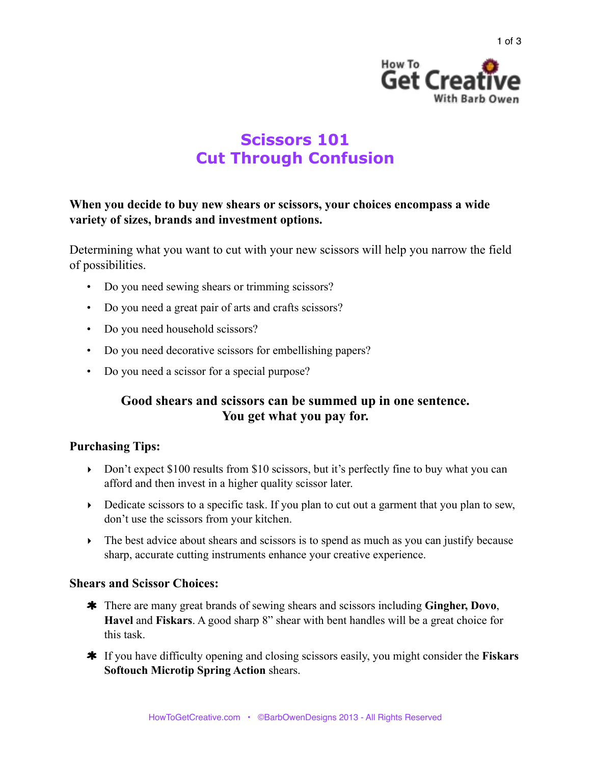

# **Scissors 101 Cut Through Confusion**

# **When you decide to buy new shears or scissors, your choices encompass a wide variety of sizes, brands and investment options.**

Determining what you want to cut with your new scissors will help you narrow the field of possibilities.

- Do you need sewing shears or trimming scissors?
- Do you need a great pair of arts and crafts scissors?
- Do you need household scissors?
- Do you need decorative scissors for embellishing papers?
- Do you need a scissor for a special purpose?

# **Good shears and scissors can be summed up in one sentence. You get what you pay for.**

## **Purchasing Tips:**

- Don't expect \$100 results from \$10 scissors, but it's perfectly fine to buy what you can afford and then invest in a higher quality scissor later.
- $\triangleright$  Dedicate scissors to a specific task. If you plan to cut out a garment that you plan to sew, don't use the scissors from your kitchen.
- The best advice about shears and scissors is to spend as much as you can justify because sharp, accurate cutting instruments enhance your creative experience.

#### **Shears and Scissor Choices:**

- There are many great brands of sewing shears and scissors including **Gingher, Dovo**, **Havel** and **Fiskars**. A good sharp 8" shear with bent handles will be a great choice for this task.
- If you have difficulty opening and closing scissors easily, you might consider the **Fiskars Softouch Microtip Spring Action** shears.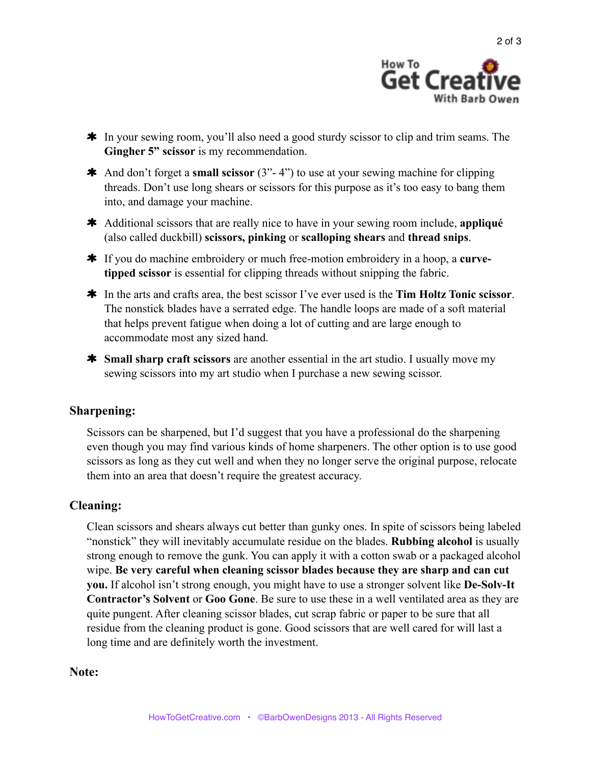

- \* In your sewing room, you'll also need a good sturdy scissor to clip and trim seams. The **Gingher 5" scissor** is my recommendation.
- And don't forget a **small scissor** (3"- 4") to use at your sewing machine for clipping threads. Don't use long shears or scissors for this purpose as it's too easy to bang them into, and damage your machine.
- Additional scissors that are really nice to have in your sewing room include, **appliqué** (also called duckbill) **scissors, pinking** or **scalloping shears** and **thread snips**.
- **\*** If you do machine embroidery or much free-motion embroidery in a hoop, a **curvetipped scissor** is essential for clipping threads without snipping the fabric.
- In the arts and crafts area, the best scissor I've ever used is the **Tim Holtz Tonic scissor**. The nonstick blades have a serrated edge. The handle loops are made of a soft material that helps prevent fatigue when doing a lot of cutting and are large enough to accommodate most any sized hand.
- **\*** Small sharp craft scissors are another essential in the art studio. I usually move my sewing scissors into my art studio when I purchase a new sewing scissor.

## **Sharpening:**

Scissors can be sharpened, but I'd suggest that you have a professional do the sharpening even though you may find various kinds of home sharpeners. The other option is to use good scissors as long as they cut well and when they no longer serve the original purpose, relocate them into an area that doesn't require the greatest accuracy.

## **Cleaning:**

Clean scissors and shears always cut better than gunky ones. In spite of scissors being labeled "nonstick" they will inevitably accumulate residue on the blades. **Rubbing alcohol** is usually strong enough to remove the gunk. You can apply it with a cotton swab or a packaged alcohol wipe. **Be very careful when cleaning scissor blades because they are sharp and can cut you.** If alcohol isn't strong enough, you might have to use a stronger solvent like **De-Solv-It Contractor's Solvent** or **Goo Gone**. Be sure to use these in a well ventilated area as they are quite pungent. After cleaning scissor blades, cut scrap fabric or paper to be sure that all residue from the cleaning product is gone. Good scissors that are well cared for will last a long time and are definitely worth the investment.

#### **Note:**